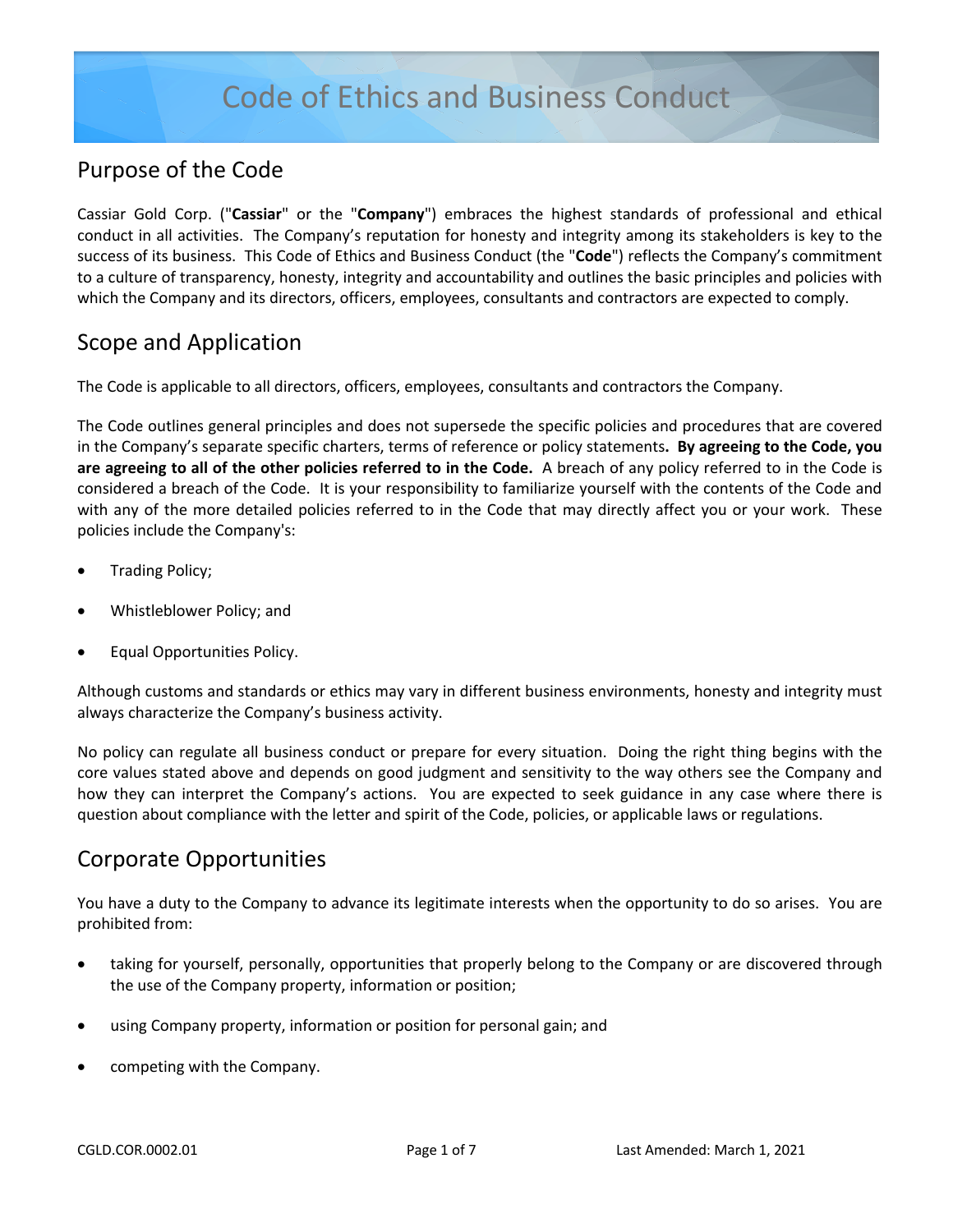#### Purpose of the Code

Cassiar Gold Corp. ("**Cassiar**" or the "**Company**") embraces the highest standards of professional and ethical conduct in all activities. The Company's reputation for honesty and integrity among its stakeholders is key to the success of its business. This Code of Ethics and Business Conduct (the "**Code**") reflects the Company's commitment to a culture of transparency, honesty, integrity and accountability and outlines the basic principles and policies with which the Company and its directors, officers, employees, consultants and contractors are expected to comply.

#### Scope and Application

The Code is applicable to all directors, officers, employees, consultants and contractors the Company.

The Code outlines general principles and does not supersede the specific policies and procedures that are covered in the Company's separate specific charters, terms of reference or policy statements**. By agreeing to the Code, you are agreeing to all of the other policies referred to in the Code.** A breach of any policy referred to in the Code is considered a breach of the Code. It is your responsibility to familiarize yourself with the contents of the Code and with any of the more detailed policies referred to in the Code that may directly affect you or your work. These policies include the Company's:

- Trading Policy;
- Whistleblower Policy; and
- Equal Opportunities Policy.

Although customs and standards or ethics may vary in different business environments, honesty and integrity must always characterize the Company's business activity.

No policy can regulate all business conduct or prepare for every situation. Doing the right thing begins with the core values stated above and depends on good judgment and sensitivity to the way others see the Company and how they can interpret the Company's actions. You are expected to seek guidance in any case where there is question about compliance with the letter and spirit of the Code, policies, or applicable laws or regulations.

#### Corporate Opportunities

You have a duty to the Company to advance its legitimate interests when the opportunity to do so arises. You are prohibited from:

- taking for yourself, personally, opportunities that properly belong to the Company or are discovered through the use of the Company property, information or position;
- using Company property, information or position for personal gain; and
- competing with the Company.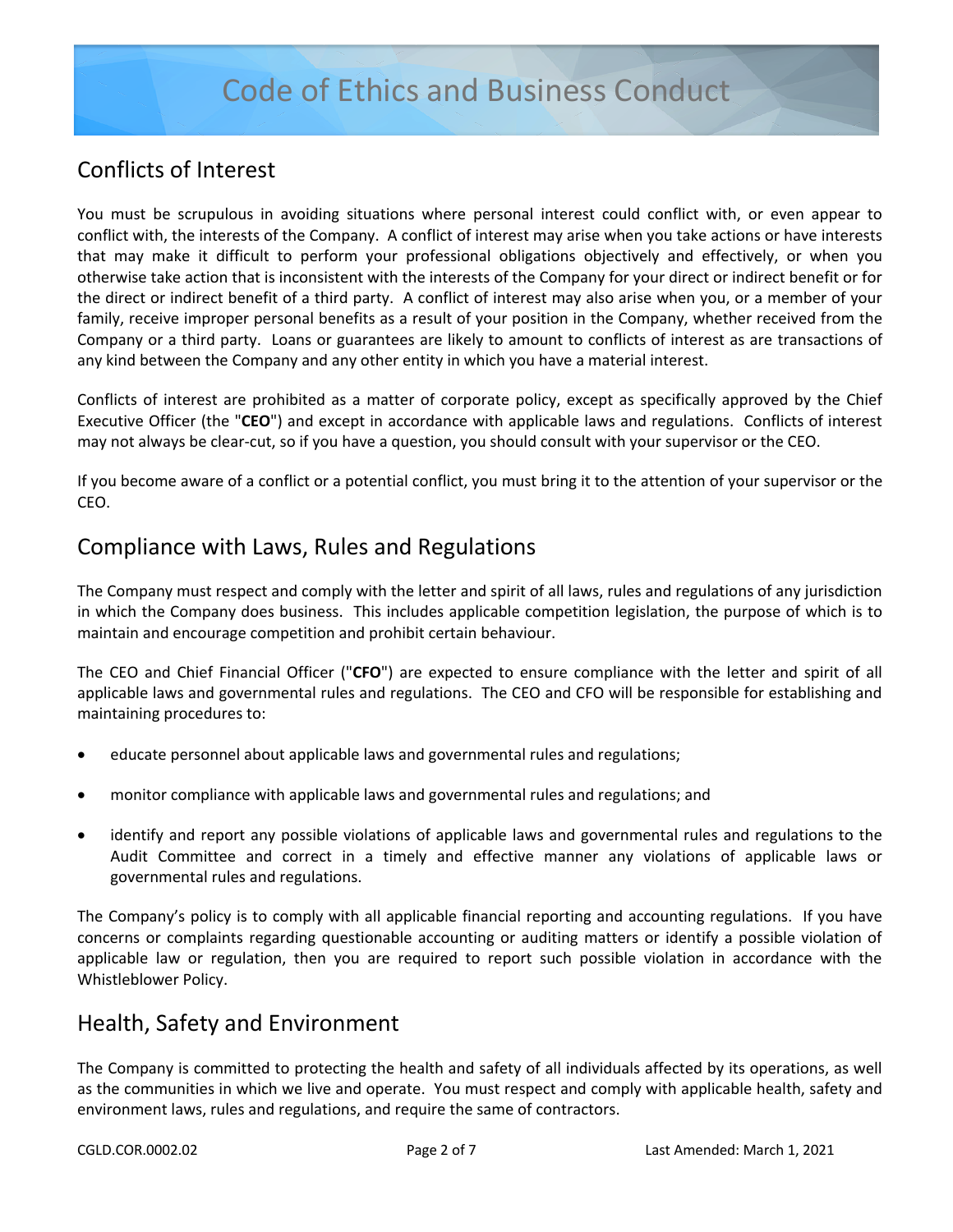#### Conflicts of Interest

You must be scrupulous in avoiding situations where personal interest could conflict with, or even appear to conflict with, the interests of the Company. A conflict of interest may arise when you take actions or have interests that may make it difficult to perform your professional obligations objectively and effectively, or when you otherwise take action that is inconsistent with the interests of the Company for your direct or indirect benefit or for the direct or indirect benefit of a third party. A conflict of interest may also arise when you, or a member of your family, receive improper personal benefits as a result of your position in the Company, whether received from the Company or a third party. Loans or guarantees are likely to amount to conflicts of interest as are transactions of any kind between the Company and any other entity in which you have a material interest.

Conflicts of interest are prohibited as a matter of corporate policy, except as specifically approved by the Chief Executive Officer (the "**CEO**") and except in accordance with applicable laws and regulations. Conflicts of interest may not always be clear-cut, so if you have a question, you should consult with your supervisor or the CEO.

If you become aware of a conflict or a potential conflict, you must bring it to the attention of your supervisor or the CEO.

#### Compliance with Laws, Rules and Regulations

The Company must respect and comply with the letter and spirit of all laws, rules and regulations of any jurisdiction in which the Company does business. This includes applicable competition legislation, the purpose of which is to maintain and encourage competition and prohibit certain behaviour.

The CEO and Chief Financial Officer ("**CFO**") are expected to ensure compliance with the letter and spirit of all applicable laws and governmental rules and regulations. The CEO and CFO will be responsible for establishing and maintaining procedures to:

- educate personnel about applicable laws and governmental rules and regulations;
- monitor compliance with applicable laws and governmental rules and regulations; and
- identify and report any possible violations of applicable laws and governmental rules and regulations to the Audit Committee and correct in a timely and effective manner any violations of applicable laws or governmental rules and regulations.

The Company's policy is to comply with all applicable financial reporting and accounting regulations. If you have concerns or complaints regarding questionable accounting or auditing matters or identify a possible violation of applicable law or regulation, then you are required to report such possible violation in accordance with the Whistleblower Policy.

#### Health, Safety and Environment

The Company is committed to protecting the health and safety of all individuals affected by its operations, as well as the communities in which we live and operate. You must respect and comply with applicable health, safety and environment laws, rules and regulations, and require the same of contractors.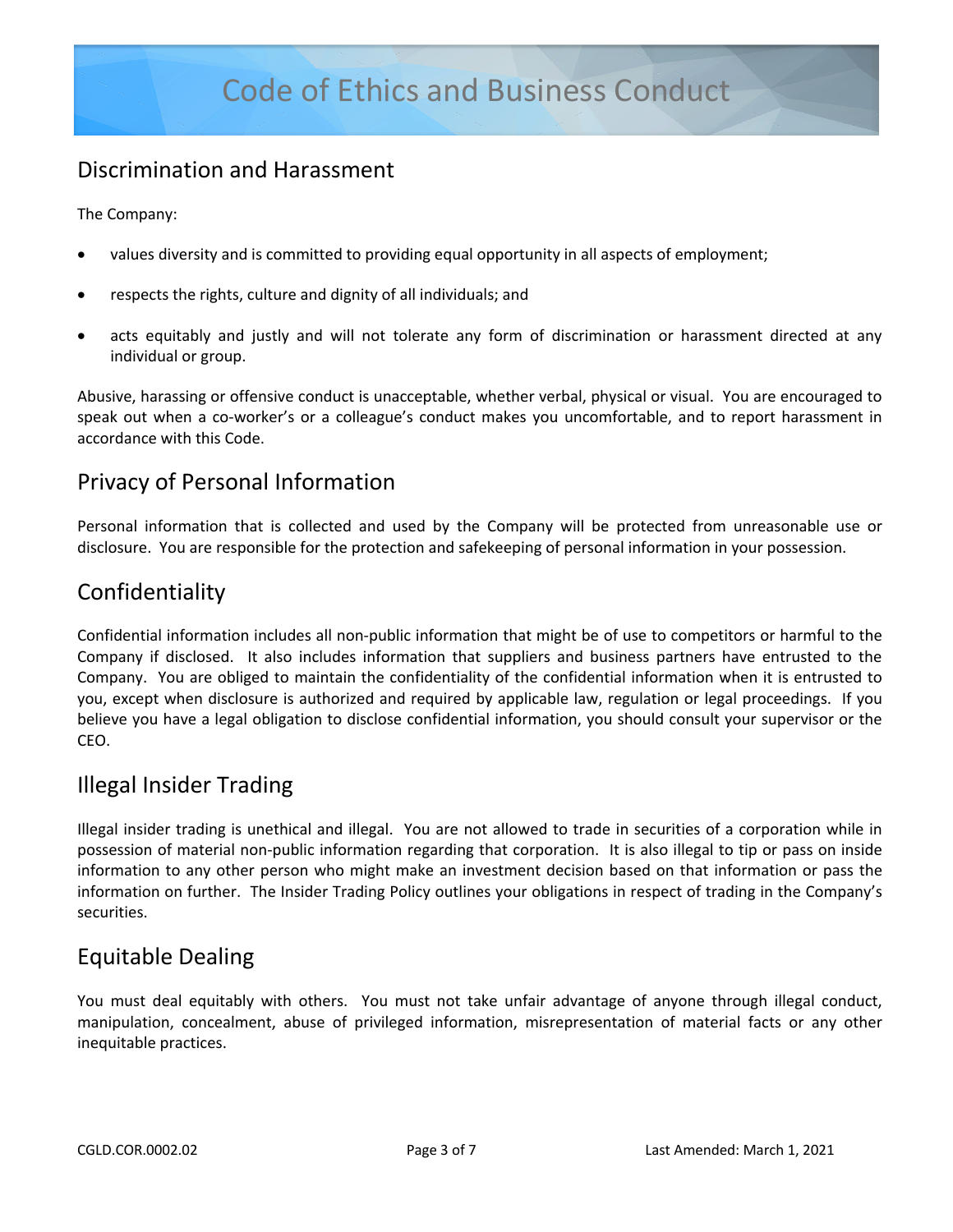### Discrimination and Harassment

The Company:

- values diversity and is committed to providing equal opportunity in all aspects of employment;
- respects the rights, culture and dignity of all individuals; and
- acts equitably and justly and will not tolerate any form of discrimination or harassment directed at any individual or group.

Abusive, harassing or offensive conduct is unacceptable, whether verbal, physical or visual. You are encouraged to speak out when a co-worker's or a colleague's conduct makes you uncomfortable, and to report harassment in accordance with this Code.

#### Privacy of Personal Information

Personal information that is collected and used by the Company will be protected from unreasonable use or disclosure. You are responsible for the protection and safekeeping of personal information in your possession.

#### Confidentiality

Confidential information includes all non-public information that might be of use to competitors or harmful to the Company if disclosed. It also includes information that suppliers and business partners have entrusted to the Company. You are obliged to maintain the confidentiality of the confidential information when it is entrusted to you, except when disclosure is authorized and required by applicable law, regulation or legal proceedings. If you believe you have a legal obligation to disclose confidential information, you should consult your supervisor or the CEO.

#### Illegal Insider Trading

Illegal insider trading is unethical and illegal. You are not allowed to trade in securities of a corporation while in possession of material non-public information regarding that corporation. It is also illegal to tip or pass on inside information to any other person who might make an investment decision based on that information or pass the information on further. The Insider Trading Policy outlines your obligations in respect of trading in the Company's securities.

#### Equitable Dealing

You must deal equitably with others. You must not take unfair advantage of anyone through illegal conduct, manipulation, concealment, abuse of privileged information, misrepresentation of material facts or any other inequitable practices.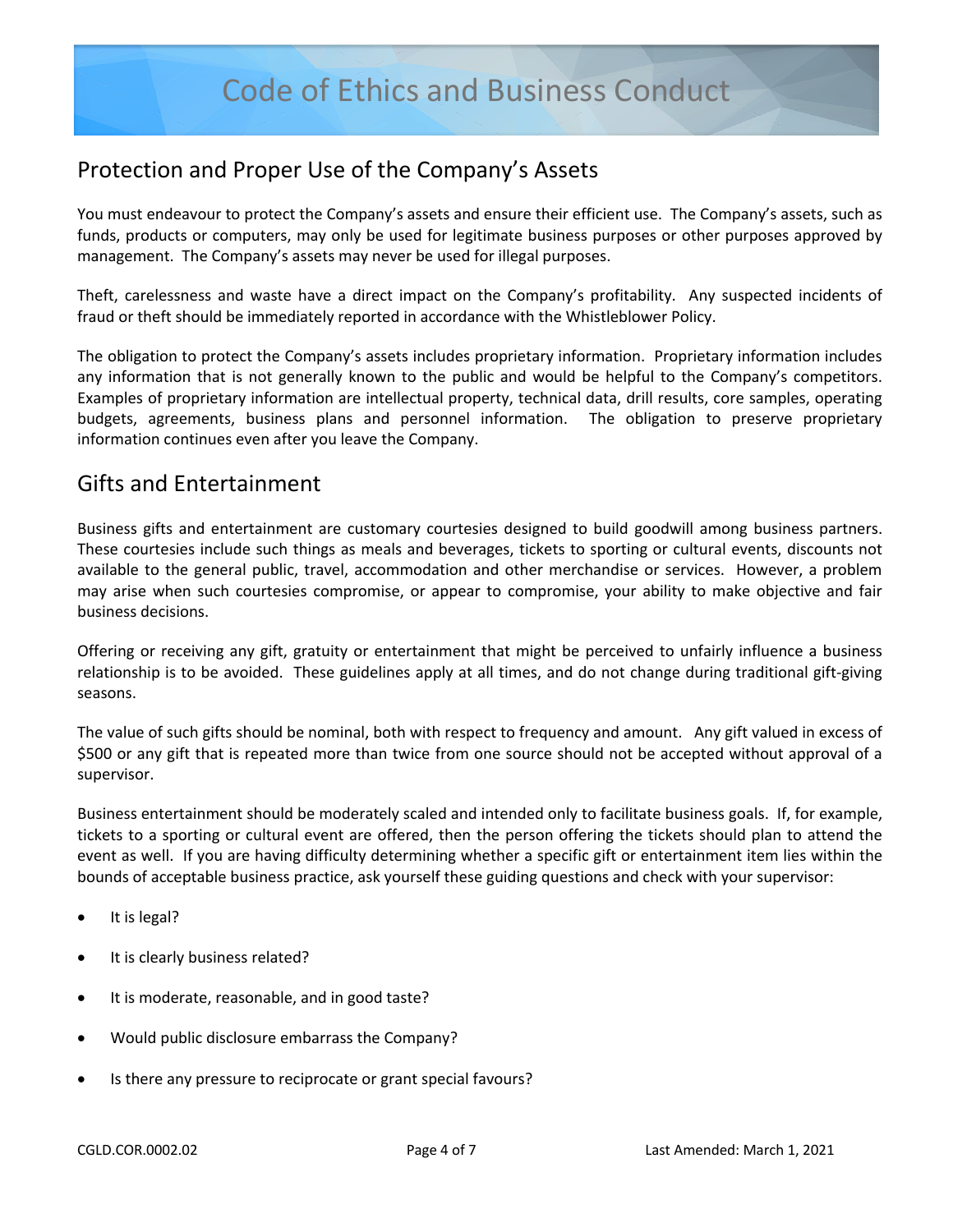#### Protection and Proper Use of the Company's Assets

You must endeavour to protect the Company's assets and ensure their efficient use. The Company's assets, such as funds, products or computers, may only be used for legitimate business purposes or other purposes approved by management. The Company's assets may never be used for illegal purposes.

Theft, carelessness and waste have a direct impact on the Company's profitability. Any suspected incidents of fraud or theft should be immediately reported in accordance with the Whistleblower Policy.

The obligation to protect the Company's assets includes proprietary information. Proprietary information includes any information that is not generally known to the public and would be helpful to the Company's competitors. Examples of proprietary information are intellectual property, technical data, drill results, core samples, operating budgets, agreements, business plans and personnel information. The obligation to preserve proprietary information continues even after you leave the Company.

#### Gifts and Entertainment

Business gifts and entertainment are customary courtesies designed to build goodwill among business partners. These courtesies include such things as meals and beverages, tickets to sporting or cultural events, discounts not available to the general public, travel, accommodation and other merchandise or services. However, a problem may arise when such courtesies compromise, or appear to compromise, your ability to make objective and fair business decisions.

Offering or receiving any gift, gratuity or entertainment that might be perceived to unfairly influence a business relationship is to be avoided. These guidelines apply at all times, and do not change during traditional gift-giving seasons.

The value of such gifts should be nominal, both with respect to frequency and amount. Any gift valued in excess of \$500 or any gift that is repeated more than twice from one source should not be accepted without approval of a supervisor.

Business entertainment should be moderately scaled and intended only to facilitate business goals. If, for example, tickets to a sporting or cultural event are offered, then the person offering the tickets should plan to attend the event as well. If you are having difficulty determining whether a specific gift or entertainment item lies within the bounds of acceptable business practice, ask yourself these guiding questions and check with your supervisor:

- It is legal?
- It is clearly business related?
- It is moderate, reasonable, and in good taste?
- Would public disclosure embarrass the Company?
- Is there any pressure to reciprocate or grant special favours?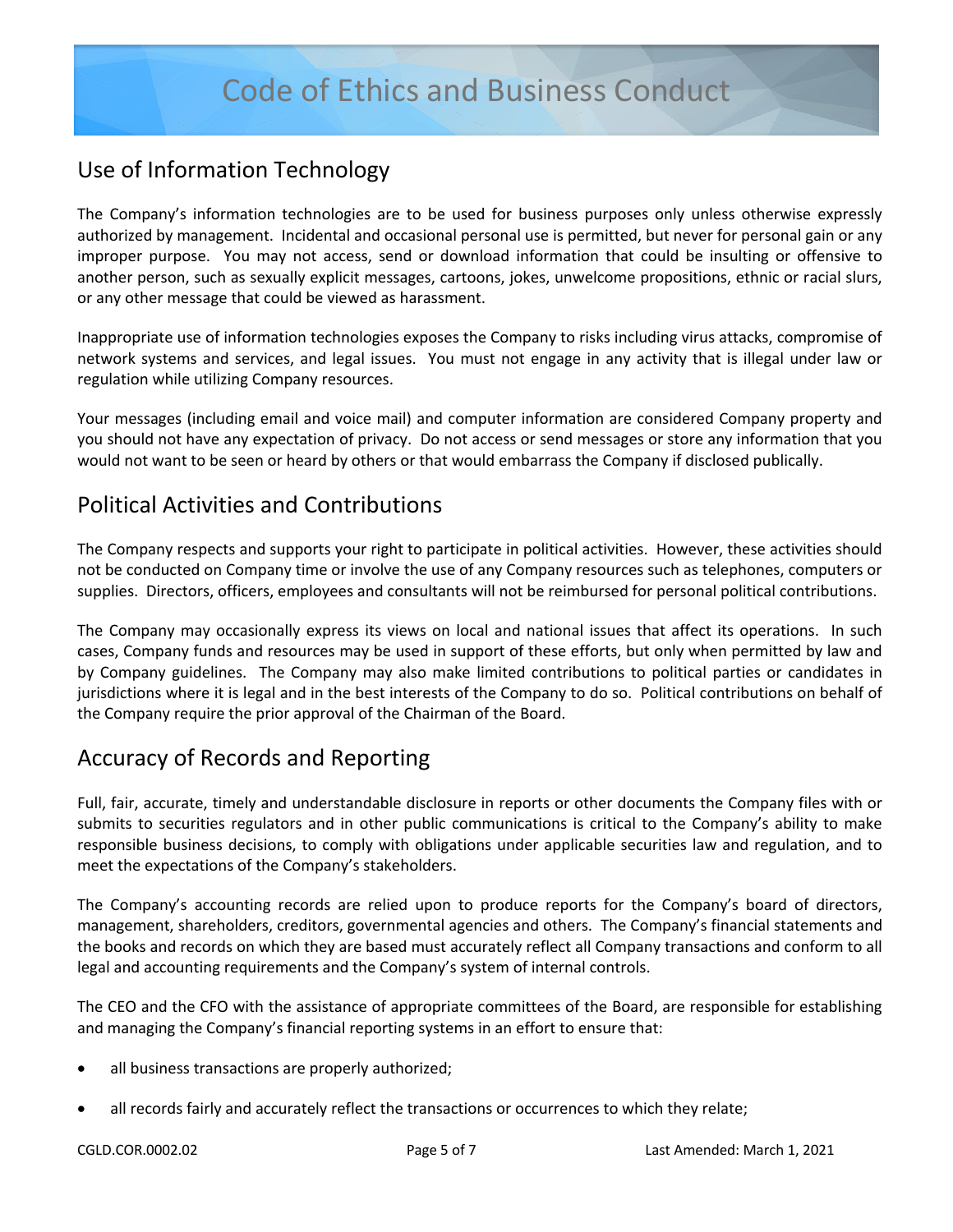#### Use of Information Technology

The Company's information technologies are to be used for business purposes only unless otherwise expressly authorized by management. Incidental and occasional personal use is permitted, but never for personal gain or any improper purpose. You may not access, send or download information that could be insulting or offensive to another person, such as sexually explicit messages, cartoons, jokes, unwelcome propositions, ethnic or racial slurs, or any other message that could be viewed as harassment.

Inappropriate use of information technologies exposes the Company to risks including virus attacks, compromise of network systems and services, and legal issues. You must not engage in any activity that is illegal under law or regulation while utilizing Company resources.

Your messages (including email and voice mail) and computer information are considered Company property and you should not have any expectation of privacy. Do not access or send messages or store any information that you would not want to be seen or heard by others or that would embarrass the Company if disclosed publically.

#### Political Activities and Contributions

The Company respects and supports your right to participate in political activities. However, these activities should not be conducted on Company time or involve the use of any Company resources such as telephones, computers or supplies. Directors, officers, employees and consultants will not be reimbursed for personal political contributions.

The Company may occasionally express its views on local and national issues that affect its operations. In such cases, Company funds and resources may be used in support of these efforts, but only when permitted by law and by Company guidelines. The Company may also make limited contributions to political parties or candidates in jurisdictions where it is legal and in the best interests of the Company to do so. Political contributions on behalf of the Company require the prior approval of the Chairman of the Board.

## Accuracy of Records and Reporting

Full, fair, accurate, timely and understandable disclosure in reports or other documents the Company files with or submits to securities regulators and in other public communications is critical to the Company's ability to make responsible business decisions, to comply with obligations under applicable securities law and regulation, and to meet the expectations of the Company's stakeholders.

The Company's accounting records are relied upon to produce reports for the Company's board of directors, management, shareholders, creditors, governmental agencies and others. The Company's financial statements and the books and records on which they are based must accurately reflect all Company transactions and conform to all legal and accounting requirements and the Company's system of internal controls.

The CEO and the CFO with the assistance of appropriate committees of the Board, are responsible for establishing and managing the Company's financial reporting systems in an effort to ensure that:

- all business transactions are properly authorized;
- all records fairly and accurately reflect the transactions or occurrences to which they relate;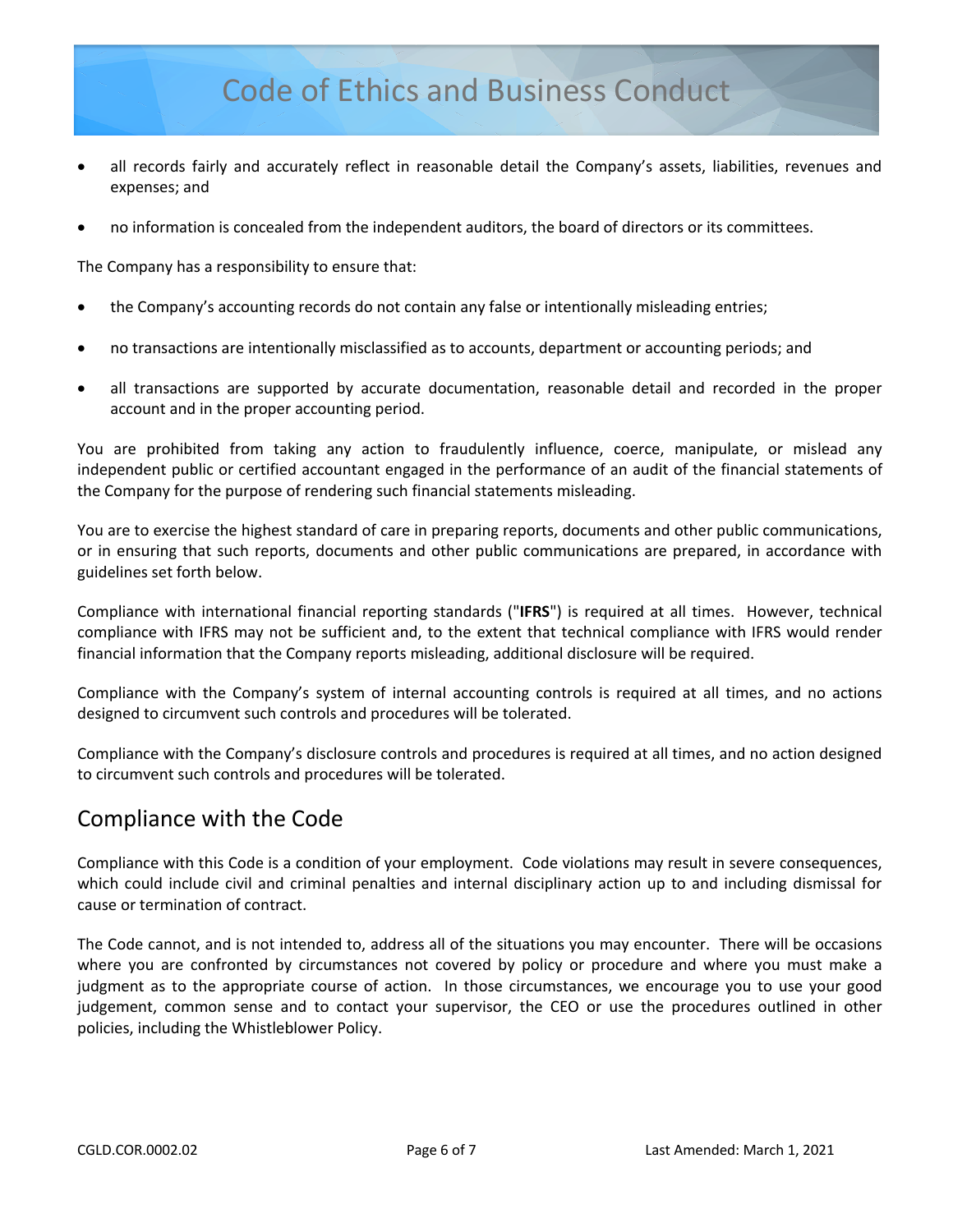## Code of Ethics and Business Conduct

- all records fairly and accurately reflect in reasonable detail the Company's assets, liabilities, revenues and expenses; and
- no information is concealed from the independent auditors, the board of directors or its committees.

The Company has a responsibility to ensure that:

- the Company's accounting records do not contain any false or intentionally misleading entries;
- no transactions are intentionally misclassified as to accounts, department or accounting periods; and
- all transactions are supported by accurate documentation, reasonable detail and recorded in the proper account and in the proper accounting period.

You are prohibited from taking any action to fraudulently influence, coerce, manipulate, or mislead any independent public or certified accountant engaged in the performance of an audit of the financial statements of the Company for the purpose of rendering such financial statements misleading.

You are to exercise the highest standard of care in preparing reports, documents and other public communications, or in ensuring that such reports, documents and other public communications are prepared, in accordance with guidelines set forth below.

Compliance with international financial reporting standards ("**IFRS**") is required at all times. However, technical compliance with IFRS may not be sufficient and, to the extent that technical compliance with IFRS would render financial information that the Company reports misleading, additional disclosure will be required.

Compliance with the Company's system of internal accounting controls is required at all times, and no actions designed to circumvent such controls and procedures will be tolerated.

Compliance with the Company's disclosure controls and procedures is required at all times, and no action designed to circumvent such controls and procedures will be tolerated.

#### Compliance with the Code

Compliance with this Code is a condition of your employment. Code violations may result in severe consequences, which could include civil and criminal penalties and internal disciplinary action up to and including dismissal for cause or termination of contract.

The Code cannot, and is not intended to, address all of the situations you may encounter. There will be occasions where you are confronted by circumstances not covered by policy or procedure and where you must make a judgment as to the appropriate course of action. In those circumstances, we encourage you to use your good judgement, common sense and to contact your supervisor, the CEO or use the procedures outlined in other policies, including the Whistleblower Policy.